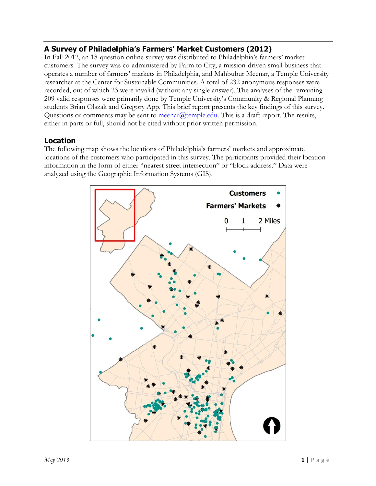# **A Survey of Philadelphia's Farmers' Market Customers (2012)**

In Fall 2012, an 18-question online survey was distributed to Philadelphia's farmers' market customers. The survey was co-administered by Farm to City, a mission-driven small business that operates a number of farmers' markets in Philadelphia, and Mahbubur Meenar, a Temple University researcher at the Center for Sustainable Communities. A total of 232 anonymous responses were recorded, out of which 23 were invalid (without any single answer). The analyses of the remaining 209 valid responses were primarily done by Temple University's Community & Regional Planning students Brian Olszak and Gregory App. This brief report presents the key findings of this survey. Questions or comments may be sent to [meenar@temple.edu.](mailto:meenar@temple.edu) This is a draft report. The results, either in parts or full, should not be cited without prior written permission.

### **Location**

The following map shows the locations of Philadelphia's farmers' markets and approximate locations of the customers who participated in this survey. The participants provided their location information in the form of either "nearest street intersection" or "block address." Data were analyzed using the Geographic Information Systems (GIS).

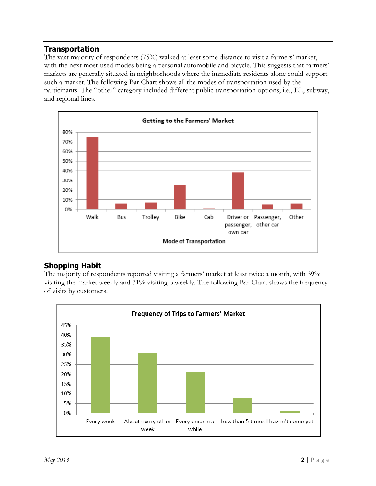### **Transportation**

The vast majority of respondents (75%) walked at least some distance to visit a farmers' market, with the next most-used modes being a personal automobile and bicycle. This suggests that farmers' markets are generally situated in neighborhoods where the immediate residents alone could support such a market. The following Bar Chart shows all the modes of transportation used by the participants. The "other" category included different public transportation options, i.e., EL, subway, and regional lines.



# **Shopping Habit**

The majority of respondents reported visiting a farmers' market at least twice a month, with 39% visiting the market weekly and 31% visiting biweekly. The following Bar Chart shows the frequency of visits by customers.

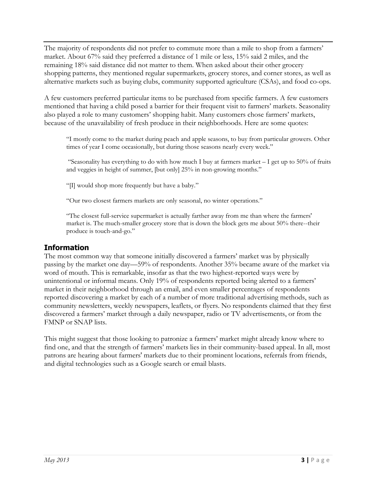The majority of respondents did not prefer to commute more than a mile to shop from a farmers' market. About 67% said they preferred a distance of 1 mile or less, 15% said 2 miles, and the remaining 18% said distance did not matter to them. When asked about their other grocery shopping patterns, they mentioned regular supermarkets, grocery stores, and corner stores, as well as alternative markets such as buying clubs, community supported agriculture (CSAs), and food co-ops.

A few customers preferred particular items to be purchased from specific farmers. A few customers mentioned that having a child posed a barrier for their frequent visit to farmers' markets. Seasonality also played a role to many customers' shopping habit. Many customers chose farmers' markets, because of the unavailability of fresh produce in their neighborhoods. Here are some quotes:

"I mostly come to the market during peach and apple seasons, to buy from particular growers. Other times of year I come occasionally, but during those seasons nearly every week."

"Seasonality has everything to do with how much I buy at farmers market  $-1$  get up to 50% of fruits and veggies in height of summer, [but only] 25% in non-growing months."

"[I] would shop more frequently but have a baby."

"Our two closest farmers markets are only seasonal, no winter operations."

"The closest full-service supermarket is actually farther away from me than where the farmers' market is. The much-smaller grocery store that is down the block gets me about 50% there--their produce is touch-and-go."

### **Information**

The most common way that someone initially discovered a farmers' market was by physically passing by the market one day—59% of respondents. Another 35% became aware of the market via word of mouth. This is remarkable, insofar as that the two highest-reported ways were by unintentional or informal means. Only 19% of respondents reported being alerted to a farmers' market in their neighborhood through an email, and even smaller percentages of respondents reported discovering a market by each of a number of more traditional advertising methods, such as community newsletters, weekly newspapers, leaflets, or flyers. No respondents claimed that they first discovered a farmers' market through a daily newspaper, radio or TV advertisements, or from the FMNP or SNAP lists.

This might suggest that those looking to patronize a farmers' market might already know where to find one, and that the strength of farmers' markets lies in their community-based appeal. In all, most patrons are hearing about farmers' markets due to their prominent locations, referrals from friends, and digital technologies such as a Google search or email blasts.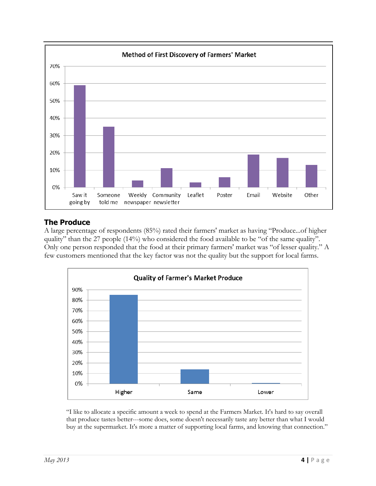

### **The Produce**

A large percentage of respondents (85%) rated their farmers' market as having "Produce...of higher quality" than the 27 people (14%) who considered the food available to be "of the same quality". Only one person responded that the food at their primary farmers' market was "of lesser quality." A few customers mentioned that the key factor was not the quality but the support for local farms.



"I like to allocate a specific amount a week to spend at the Farmers Market. It's hard to say overall that produce tastes better---some does, some doesn't necessarily taste any better than what I would buy at the supermarket. It's more a matter of supporting local farms, and knowing that connection."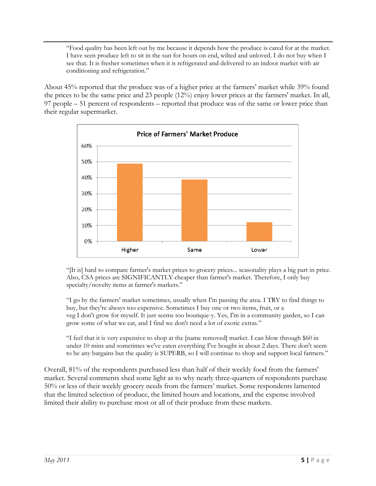"Food quality has been left out by me because it depends how the produce is cared for at the market. I have seen produce left to sit in the sun for hours on end, wilted and unloved. I do not buy when I see that. It is fresher sometimes when it is refrigerated and delivered to an indoor market with air conditioning and refrigeration."

About 45% reported that the produce was of a higher price at the farmers' market while 39% found the prices to be the same price and 23 people (12%) enjoy lower prices at the farmers' market. In all, 97 people – 51 percent of respondents – reported that produce was of the same or lower price than their regular supermarket.



"[It is] hard to compare farmer's market prices to grocery prices... seasonality plays a big part in price. Also, CSA prices are SIGNIFICANTLY cheaper than farmer's market. Therefore, I only buy specialty/novelty items at farmer's markets."

"I go by the farmers' market sometimes, usually when I'm passing the area. I TRY to find things to buy, but they're always too expensive. Sometimes I buy one or two items, fruit, or a veg I don't grow for myself. It just seems too boutique-y. Yes, I'm in a community garden, so I can grow some of what we eat, and I find we don't need a lot of exotic extras."

"I feel that it is very expensive to shop at the [name removed] market. I can blow through \$60 in under 10 mins and sometimes we've eaten everything I've bought in about 2 days. There don't seem to be any bargains but the quality is SUPERB, so I will continue to shop and support local farmers."

Overall, 81% of the respondents purchased less than half of their weekly food from the farmers' market. Several comments shed some light as to why nearly three-quarters of respondents purchase 50% or less of their weekly grocery needs from the farmers' market. Some respondents lamented that the limited selection of produce, the limited hours and locations, and the expense involved limited their ability to purchase most or all of their produce from these markets.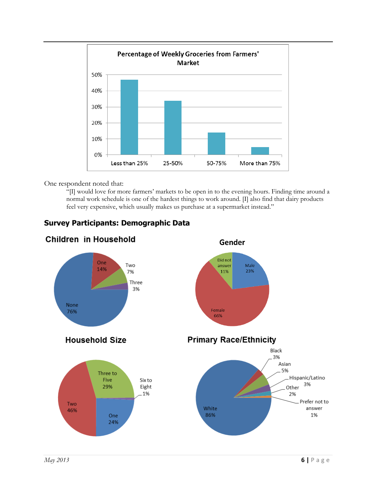

One respondent noted that:

"[I] would love for more farmers' markets to be open in to the evening hours. Finding time around a normal work schedule is one of the hardest things to work around. [I] also find that dairy products feel very expensive, which usually makes us purchase at a supermarket instead."

# **Survey Participants: Demographic Data**

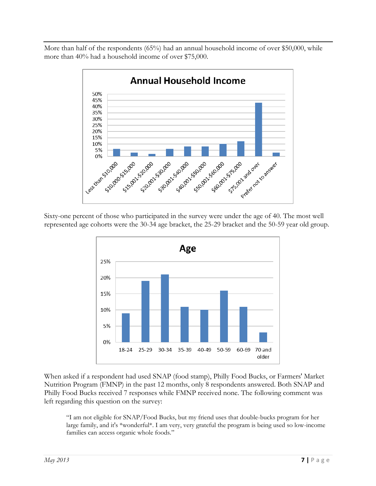More than half of the respondents (65%) had an annual household income of over \$50,000, while more than 40% had a household income of over \$75,000.



Sixty-one percent of those who participated in the survey were under the age of 40. The most well represented age cohorts were the 30-34 age bracket, the 25-29 bracket and the 50-59 year old group.



When asked if a respondent had used SNAP (food stamp), Philly Food Bucks, or Farmers' Market Nutrition Program (FMNP) in the past 12 months, only 8 respondents answered. Both SNAP and Philly Food Bucks received 7 responses while FMNP received none. The following comment was left regarding this question on the survey:

"I am not eligible for SNAP/Food Bucks, but my friend uses that double-bucks program for her large family, and it's \*wonderful\*. I am very, very grateful the program is being used so low-income families can access organic whole foods."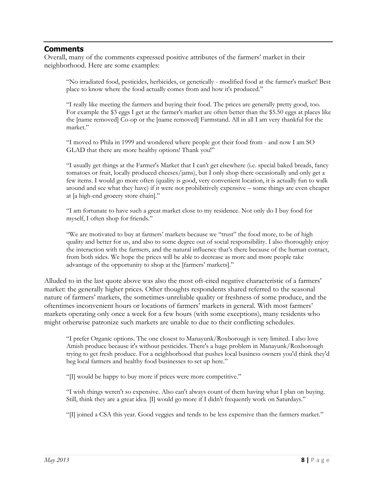#### **Comments**

Overall, many of the comments expressed positive attributes of the farmers' market in their neighborhood. Here are some examples:

"No irradiated food, pesticides, herbicides, or genetically - modified food at the farmer's market! Best place to know where the food actually comes from and how it's produced."

"I really like meeting the farmers and buying their food. The prices are generally pretty good, too. For example the \$3 eggs I get at the farmer's market are often better than the \$5.50 eggs at places like the [name removed] Co-op or the [name removed] Farmstand. All in all I am very thankful for the market."

"I moved to Phila in 1999 and wondered where people got their food from - and now I am SO GLAD that there are more healthy options! Thank you!"

"I usually get things at the Farmer's Market that I can't get elsewhere (i.e. special baked breads, fancy tomatoes or fruit, locally produced cheeses/jams), but I only shop there occasionally and only get a few items. I would go more often (quality is good, very convenient location, it is actually fun to walk around and see what they have) if it were not prohibitively expensive – some things are even cheaper at [a high-end grocery store chain]."

"I am fortunate to have such a great market close to my residence. Not only do I buy food for myself, I often shop for friends."

"We are motivated to buy at farmers' markets because we "trust" the food more, to be of high quality and better for us, and also to some degree out of social responsibility. I also thoroughly enjoy the interaction with the farmers, and the natural influence that's there because of the human contact, from both sides. We hope the prices will be able to decrease as more and more people take advantage of the opportunity to shop at the [farmers' markets]."

Alluded to in the last quote above was also the most oft-cited negative characteristic of a farmers' market: the generally higher prices. Other thoughts respondents shared referred to the seasonal nature of farmers' markets, the sometimes-unreliable quality or freshness of some produce, and the oftentimes inconvenient hours or locations of farmers' markets in general. With most farmers' markets operating only once a week for a few hours (with some exceptions), many residents who might otherwise patronize such markets are unable to due to their conflicting schedules.

"I prefer Organic options. The one closest to Manayunk/Roxborough is very limited. I also love Amish produce because it's without pesticides. There's a huge problem in Manayunk/Roxborough trying to get fresh produce. For a neighborhood that pushes local business owners you'd think they'd beg local farmers and healthy food businesses to set up here."

"[I] would be happy to buy more if prices were more competitive."

"I wish things weren't so expensive. Also can't always count of them having what I plan on buying. Still, think they are a great idea. [I] would go more if I didn't frequently work on Saturdays."

"[I] joined a CSA this year. Good veggies and tends to be less expensive than the farmers market."